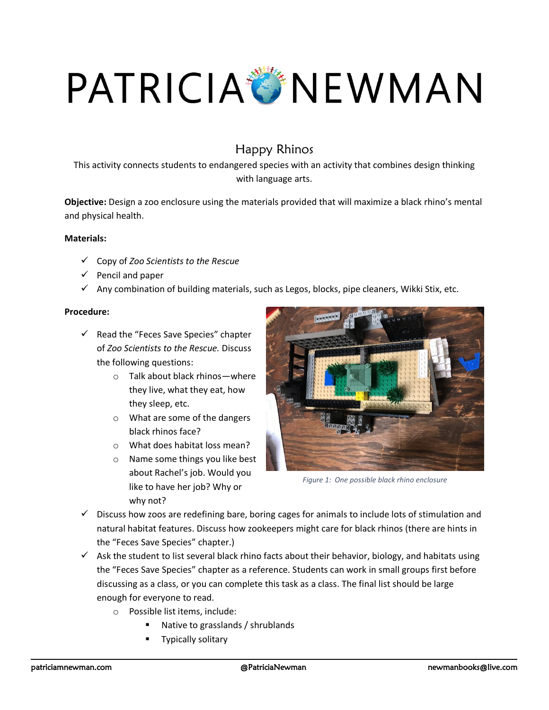## PATRICIA TINEWMAN

## Happy Rhinos

This activity connects students to endangered species with an activity that combines design thinking with language arts.

**Objective:** Design a zoo enclosure using the materials provided that will maximize a black rhino's mental and physical health.

## **Materials:**

- ✓ Copy of *Zoo Scientists to the Rescue*
- $\checkmark$  Pencil and paper
- $\checkmark$  Any combination of building materials, such as Legos, blocks, pipe cleaners, Wikki Stix, etc.

## **Procedure:**

- $\checkmark$  Read the "Feces Save Species" chapter of *Zoo Scientists to the Rescue.* Discuss the following questions:
	- o Talk about black rhinos—where they live, what they eat, how they sleep, etc.
	- o What are some of the dangers black rhinos face?
	- o What does habitat loss mean?
	- o Name some things you like best about Rachel's job. Would you like to have her job? Why or why not?



*Figure 1: One possible black rhino enclosure*

- $\checkmark$  Discuss how zoos are redefining bare, boring cages for animals to include lots of stimulation and natural habitat features. Discuss how zookeepers might care for black rhinos (there are hints in the "Feces Save Species" chapter.)
- $\checkmark$  Ask the student to list several black rhino facts about their behavior, biology, and habitats using the "Feces Save Species" chapter as a reference. Students can work in small groups first before discussing as a class, or you can complete this task as a class. The final list should be large enough for everyone to read.
	- o Possible list items, include:
		- Native to grasslands / shrublands
		- **Typically solitary**